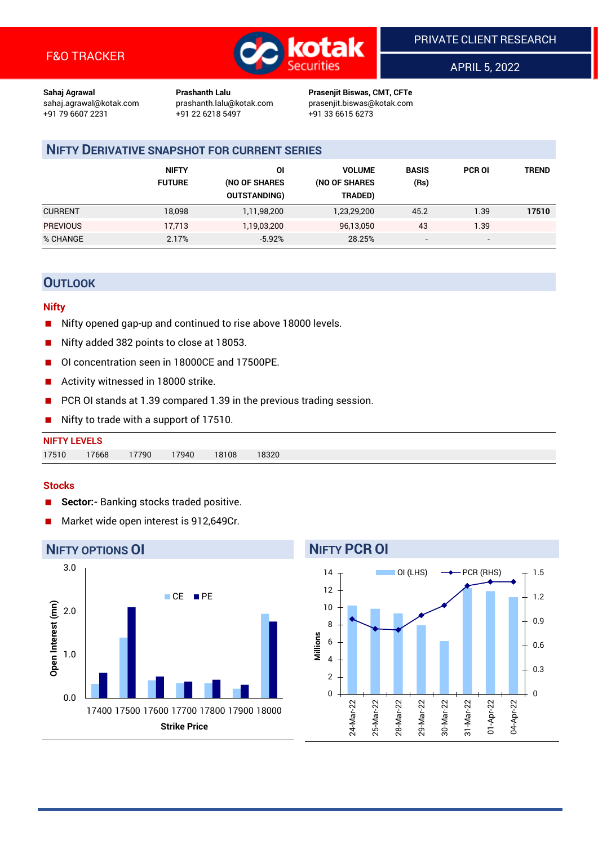

APRIL 5, 2022

**Sahaj Agrawal Prashanth Lalu Prasenjit Biswas, CMT, CFTe** +91 22 6218 5497 +91 33 6615 6273

sahaj.agrawal@kotak.com [prashanth.lalu@kotak.com](mailto:prashanth.lalu@kotak.com) prasenjit.biswas@kotak.com

## **NIFTY DERIVATIVE SNAPSHOT FOR CURRENT SERIES**

|                 | <b>NIFTY</b><br><b>FUTURE</b> | ΟI<br>(NO OF SHARES<br><b>OUTSTANDING)</b> | <b>VOLUME</b><br>(NO OF SHARES<br>TRADED) | <b>BASIS</b><br>(Rs)     | <b>PCR OI</b> | TREND |
|-----------------|-------------------------------|--------------------------------------------|-------------------------------------------|--------------------------|---------------|-------|
| <b>CURRENT</b>  | 18,098                        | 1,11,98,200                                | 1,23,29,200                               | 45.2                     | 1.39          | 17510 |
| <b>PREVIOUS</b> | 17,713                        | 1,19,03,200                                | 96,13,050                                 | 43                       | 1.39          |       |
| % CHANGE        | 2.17%                         | $-5.92%$                                   | 28.25%                                    | $\overline{\phantom{a}}$ | -             |       |

## **OUTLOOK**

## **Nifty**

- Nifty opened gap-up and continued to rise above 18000 levels.
- Nifty added 382 points to close at 18053.
- OI concentration seen in 18000CE and 17500PE.
- Activity witnessed in 18000 strike.
- PCR OI stands at 1.39 compared 1.39 in the previous trading session.
- Nifty to trade with a support of 17510.

| <b>NIFTY LEVELS</b> |       |       |       |       |       |  |  |  |
|---------------------|-------|-------|-------|-------|-------|--|--|--|
| 17510               | 17668 | 17790 | 17940 | 18108 | 18320 |  |  |  |

## **Stocks**

- **Sector:-** Banking stocks traded positive.
- Market wide open interest is 912,649Cr.



## **NIFTY PCR OI**

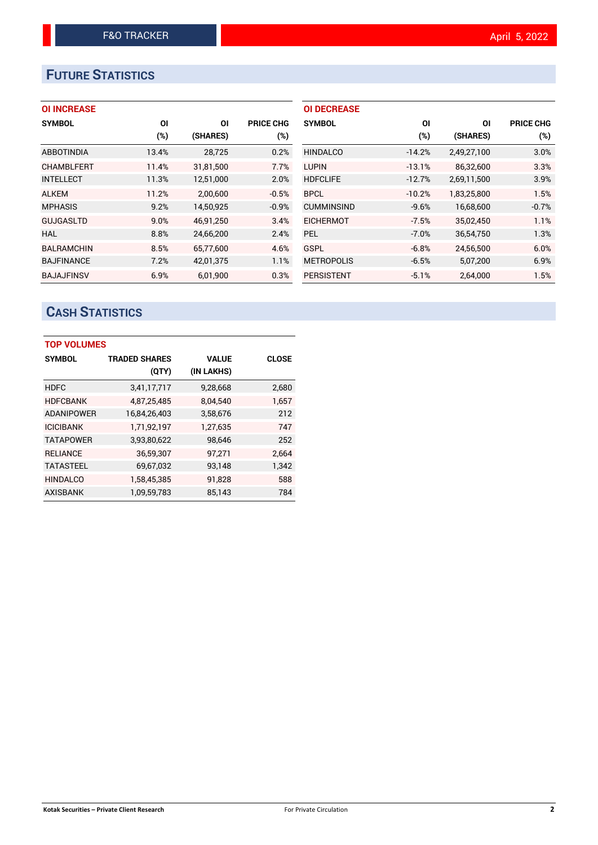# **FUTURE STATISTICS**

## **OI INCREASE**

| <b>SYMBOL</b>     | ΟI     | ΟI        | <b>PRICE CHG</b> |
|-------------------|--------|-----------|------------------|
|                   | $(\%)$ | (SHARES)  | $(\%)$           |
| <b>ABBOTINDIA</b> | 13.4%  | 28,725    | 0.2%             |
| <b>CHAMBLFERT</b> | 11.4%  | 31,81,500 | 7.7%             |
| <b>INTELLECT</b>  | 11.3%  | 12,51,000 | 2.0%             |
| <b>ALKEM</b>      | 11.2%  | 2,00,600  | $-0.5%$          |
| <b>MPHASIS</b>    | 9.2%   | 14,50,925 | $-0.9%$          |
| <b>GUJGASLTD</b>  | 9.0%   | 46.91.250 | 3.4%             |
| HAL               | 8.8%   | 24,66,200 | 2.4%             |
| <b>BALRAMCHIN</b> | 8.5%   | 65,77,600 | 4.6%             |
| <b>BAJFINANCE</b> | 7.2%   | 42,01,375 | 1.1%             |
| <b>BAJAJFINSV</b> | 6.9%   | 6,01,900  | 0.3%             |

| <b>OI DECREASE</b> |          |             |                  |
|--------------------|----------|-------------|------------------|
| <b>SYMBOL</b>      | ΟI       | ΟI          | <b>PRICE CHG</b> |
|                    | (%)      | (SHARES)    | (%)              |
| <b>HINDALCO</b>    | $-14.2%$ | 2,49,27,100 | 3.0%             |
| <b>LUPIN</b>       | $-13.1%$ | 86,32,600   | 3.3%             |
| <b>HDFCLIFE</b>    | $-12.7%$ | 2,69,11,500 | 3.9%             |
| <b>BPCL</b>        | $-10.2%$ | 1,83,25,800 | 1.5%             |
| <b>CUMMINSIND</b>  | $-9.6%$  | 16,68,600   | $-0.7%$          |
| <b>EICHERMOT</b>   | $-7.5%$  | 35,02,450   | 1.1%             |
| <b>PEL</b>         | $-7.0%$  | 36,54,750   | 1.3%             |
| GSPL               | $-6.8%$  | 24,56,500   | 6.0%             |
| <b>METROPOLIS</b>  | $-6.5%$  | 5,07,200    | 6.9%             |
| <b>PERSISTENT</b>  | $-5.1%$  | 2,64,000    | 1.5%             |

# **CASH STATISTICS**

| <b>TOP VOLUMES</b> |                      |              |              |
|--------------------|----------------------|--------------|--------------|
| <b>SYMBOL</b>      | <b>TRADED SHARES</b> | <b>VALUE</b> | <b>CLOSE</b> |
|                    | (QTY)                | (IN LAKHS)   |              |
| <b>HDFC</b>        | 3,41,17,717          | 9,28,668     | 2,680        |
| <b>HDFCBANK</b>    | 4,87,25,485          | 8,04,540     | 1,657        |
| <b>ADANIPOWER</b>  | 16,84,26,403         | 3,58,676     | 212          |
| <b>ICICIBANK</b>   | 1,71,92,197          | 1,27,635     | 747          |
| <b>TATAPOWER</b>   | 3,93,80,622          | 98,646       | 252          |
| <b>RELIANCE</b>    | 36,59,307            | 97,271       | 2.664        |
| <b>TATASTEEL</b>   | 69,67,032            | 93,148       | 1,342        |
| <b>HINDALCO</b>    | 1,58,45,385          | 91,828       | 588          |
| <b>AXISBANK</b>    | 1,09,59,783          | 85,143       | 784          |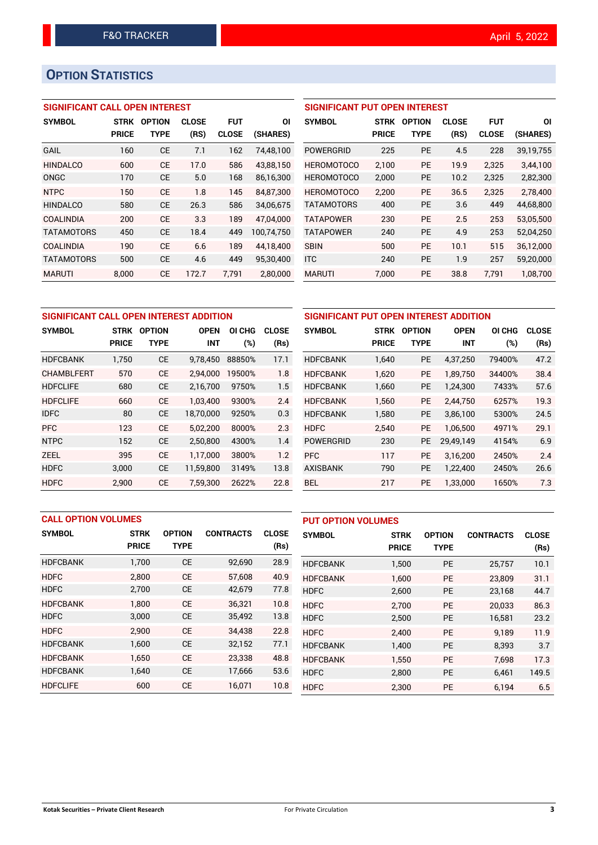# **OPTION STATISTICS**

## **SIGNIFICANT CALL OPEN INTEREST**

| <b>SYMBOL</b>     | <b>STRK</b>  | <b>OPTION</b> | <b>CLOSE</b> | FUT          | ΟI         |
|-------------------|--------------|---------------|--------------|--------------|------------|
|                   | <b>PRICE</b> | TYPE          | (RS)         | <b>CLOSE</b> | (SHARES)   |
| <b>GAIL</b>       | 160          | CE            | 7.1          | 162          | 74,48,100  |
| <b>HINDALCO</b>   | 600          | CE            | 17.0         | 586          | 43.88.150  |
| ONGC              | 170          | CE            | 5.0          | 168          | 86,16,300  |
| <b>NTPC</b>       | 150          | CE            | 1.8          | 145          | 84.87.300  |
| <b>HINDALCO</b>   | 580          | CE            | 26.3         | 586          | 34,06,675  |
| <b>COALINDIA</b>  | 200          | CF            | 3.3          | 189          | 47.04.000  |
| <b>TATAMOTORS</b> | 450          | СE            | 18.4         | 449          | 100.74.750 |
| <b>COALINDIA</b>  | 190          | CF            | 6.6          | 189          | 44.18.400  |
| <b>TATAMOTORS</b> | 500          | CE            | 4.6          | 449          | 95.30.400  |
| <b>MARUTI</b>     | 8.000        | СE            | 172.7        | 7.791        | 2,80,000   |

| <b>SIGNIFICANT PUT OPEN INTEREST</b> |             |               |              |              |           |  |  |  |
|--------------------------------------|-------------|---------------|--------------|--------------|-----------|--|--|--|
| <b>SYMBOL</b>                        | <b>STRK</b> | <b>OPTION</b> | <b>CLOSE</b> | <b>FUT</b>   | ΟI        |  |  |  |
|                                      | PRICE       | <b>TYPE</b>   | (RS)         | <b>CLOSE</b> | (SHARES)  |  |  |  |
| POWERGRID                            | 225         | <b>PE</b>     | 4.5          | 228          | 39,19,755 |  |  |  |
| <b>HEROMOTOCO</b>                    | 2,100       | РE            | 19.9         | 2,325        | 3,44,100  |  |  |  |
| <b>HEROMOTOCO</b>                    | 2,000       | PE            | 10.2         | 2,325        | 2,82,300  |  |  |  |
| <b>HEROMOTOCO</b>                    | 2.200       | РE            | 36.5         | 2,325        | 2,78,400  |  |  |  |
| <b>TATAMOTORS</b>                    | 400         | PE            | 3.6          | 449          | 44,68,800 |  |  |  |
| <b>TATAPOWER</b>                     | 230         | PF            | 2.5          | 253          | 53,05,500 |  |  |  |
| <b>TATAPOWER</b>                     | 240         | PE            | 4.9          | 253          | 52,04,250 |  |  |  |
| <b>SBIN</b>                          | 500         | РE            | 10.1         | 515          | 36,12,000 |  |  |  |
| <b>ITC</b>                           | 240         | <b>PE</b>     | 1.9          | 257          | 59,20,000 |  |  |  |
| MARUTI                               | 7,000       | РE            | 38.8         | 7.791        | 1,08,700  |  |  |  |

| SIGNIFICANT CALL OPEN INTEREST ADDITION |              |               |             |        | SIGNIFICANT PUT OPEN INTEREST ADDITION       |                  |              |             |               |  |             |  |
|-----------------------------------------|--------------|---------------|-------------|--------|----------------------------------------------|------------------|--------------|-------------|---------------|--|-------------|--|
| <b>SYMBOL</b>                           | <b>STRK</b>  | <b>OPTION</b> | <b>OPEN</b> | OI CHG | <b>SYMBOL</b><br><b>CLOSE</b><br><b>STRK</b> |                  |              |             | <b>OPTION</b> |  | <b>OPEN</b> |  |
|                                         | <b>PRICE</b> | <b>TYPE</b>   | <b>INT</b>  | (%)    | (Rs)                                         |                  | <b>PRICE</b> | <b>TYPE</b> | <b>INT</b>    |  |             |  |
| <b>HDFCBANK</b>                         | 1,750        | <b>CE</b>     | 9,78,450    | 88850% | 17.1                                         | <b>HDFCBANK</b>  | 1,640        | <b>PE</b>   | 4,37,250      |  |             |  |
| <b>CHAMBLFERT</b>                       | 570          | <b>CE</b>     | 2.94.000    | 19500% | 1.8                                          | <b>HDFCBANK</b>  | 1.620        | <b>PE</b>   | 1.89.750      |  |             |  |
| <b>HDFCLIFE</b>                         | 680          | <b>CE</b>     | 2,16,700    | 9750%  | 1.5                                          | <b>HDFCBANK</b>  | 1,660        | <b>PE</b>   | 1,24,300      |  |             |  |
| <b>HDFCLIFE</b>                         | 660          | <b>CE</b>     | 1.03.400    | 9300%  | 2.4                                          | <b>HDFCBANK</b>  | 1.560        | <b>PE</b>   | 2.44.750      |  |             |  |
| <b>IDFC</b>                             | 80           | <b>CE</b>     | 18,70,000   | 9250%  | 0.3                                          | <b>HDFCBANK</b>  | 1,580        | <b>PE</b>   | 3,86,100      |  |             |  |
| <b>PFC</b>                              | 123          | <b>CE</b>     | 5.02.200    | 8000%  | 2.3                                          | <b>HDFC</b>      | 2.540        | <b>PE</b>   | 1.06.500      |  |             |  |
| <b>NTPC</b>                             | 152          | <b>CE</b>     | 2,50,800    | 4300%  | 1.4                                          | <b>POWERGRID</b> | 230          | <b>PE</b>   | 29,49,149     |  |             |  |
| <b>ZEEL</b>                             | 395          | <b>CE</b>     | 1.17.000    | 3800%  | 1.2                                          | <b>PFC</b>       | 117          | <b>PE</b>   | 3,16,200      |  |             |  |
| <b>HDFC</b>                             | 3,000        | <b>CE</b>     | 11,59,800   | 3149%  | 13.8                                         | <b>AXISBANK</b>  | 790          | <b>PE</b>   | 1,22,400      |  |             |  |
| <b>HDFC</b>                             | 2,900        | <b>CE</b>     | 7,59,300    | 2622%  | 22.8                                         | <b>BEL</b>       | 217          | <b>PE</b>   | 1,33,000      |  |             |  |

| SIGNIFICANT PUT OPEN INTEREST ADDITION |              |               |             |        |              |  |  |  |
|----------------------------------------|--------------|---------------|-------------|--------|--------------|--|--|--|
| <b>SYMBOL</b>                          | <b>STRK</b>  | <b>OPTION</b> | <b>OPEN</b> | OI CHG | <b>CLOSE</b> |  |  |  |
|                                        | <b>PRICE</b> | <b>TYPE</b>   | INT         | (%)    | (Rs)         |  |  |  |
| <b>HDFCBANK</b>                        | 1,640        | PE            | 4,37,250    | 79400% | 47.2         |  |  |  |
| <b>HDFCBANK</b>                        | 1.620        | PE            | 1.89.750    | 34400% | 38.4         |  |  |  |
| <b>HDFCBANK</b>                        | 1,660        | <b>PE</b>     | 1,24,300    | 7433%  | 57.6         |  |  |  |
| <b>HDFCBANK</b>                        | 1.560        | PE            | 2.44.750    | 6257%  | 19.3         |  |  |  |
| <b>HDFCBANK</b>                        | 1,580        | PE            | 3,86,100    | 5300%  | 24.5         |  |  |  |
| <b>HDFC</b>                            | 2,540        | <b>PE</b>     | 1,06,500    | 4971%  | 29.1         |  |  |  |
| <b>POWERGRID</b>                       | 230          | <b>PE</b>     | 29,49,149   | 4154%  | 6.9          |  |  |  |
| <b>PFC</b>                             | 117          | <b>PE</b>     | 3,16,200    | 2450%  | 2.4          |  |  |  |
| <b>AXISBANK</b>                        | 790          | PE            | 1,22,400    | 2450%  | 26.6         |  |  |  |
| <b>BEL</b>                             | 217          | PE            | 1,33,000    | 1650%  | 7.3          |  |  |  |

| <b>CALL OPTION VOLUMES</b> |              |               |                  |              | <b>PUT OPTION VOLUMES</b> |              |               |                  |              |
|----------------------------|--------------|---------------|------------------|--------------|---------------------------|--------------|---------------|------------------|--------------|
| <b>SYMBOL</b>              | <b>STRK</b>  | <b>OPTION</b> | <b>CONTRACTS</b> | <b>CLOSE</b> | <b>SYMBOL</b>             | <b>STRK</b>  | <b>OPTION</b> | <b>CONTRACTS</b> | <b>CLOSE</b> |
|                            | <b>PRICE</b> | <b>TYPE</b>   |                  | (Rs)         |                           | <b>PRICE</b> | <b>TYPE</b>   |                  | (Rs)         |
| <b>HDFCBANK</b>            | 1,700        | <b>CE</b>     | 92,690           | 28.9         | <b>HDFCBANK</b>           | 1,500        | PE            | 25,757           | 10.1         |
| <b>HDFC</b>                | 2.800        | <b>CE</b>     | 57,608           | 40.9         | <b>HDFCBANK</b>           | 1,600        | <b>PE</b>     | 23,809           | 31.1         |
| <b>HDFC</b>                | 2,700        | <b>CE</b>     | 42,679           | 77.8         | <b>HDFC</b>               | 2,600        | PE            | 23,168           | 44.7         |
| <b>HDFCBANK</b>            | 1.800        | <b>CE</b>     | 36,321           | 10.8         | <b>HDFC</b>               | 2.700        | <b>PE</b>     | 20.033           | 86.3         |
| <b>HDFC</b>                | 3,000        | <b>CE</b>     | 35,492           | 13.8         | <b>HDFC</b>               | 2,500        | <b>PE</b>     | 16,581           | 23.2         |
| <b>HDFC</b>                | 2.900        | <b>CE</b>     | 34,438           | 22.8         | <b>HDFC</b>               | 2.400        | <b>PE</b>     | 9.189            | 11.9         |
| <b>HDFCBANK</b>            | 1,600        | <b>CE</b>     | 32,152           | 77.1         | <b>HDFCBANK</b>           | 1,400        | PE            | 8,393            | 3.7          |
| <b>HDFCBANK</b>            | 1.650        | <b>CE</b>     | 23.338           | 48.8         | <b>HDFCBANK</b>           | 1,550        | <b>PE</b>     | 7.698            | 17.3         |
| <b>HDFCBANK</b>            | 1,640        | <b>CE</b>     | 17,666           | 53.6         | <b>HDFC</b>               | 2,800        | PE            | 6,461            | 149.5        |
| <b>HDFCLIFE</b>            | 600          | <b>CE</b>     | 16,071           | 10.8         | <b>HDFC</b>               | 2.300        | PE            | 6,194            | 6.5          |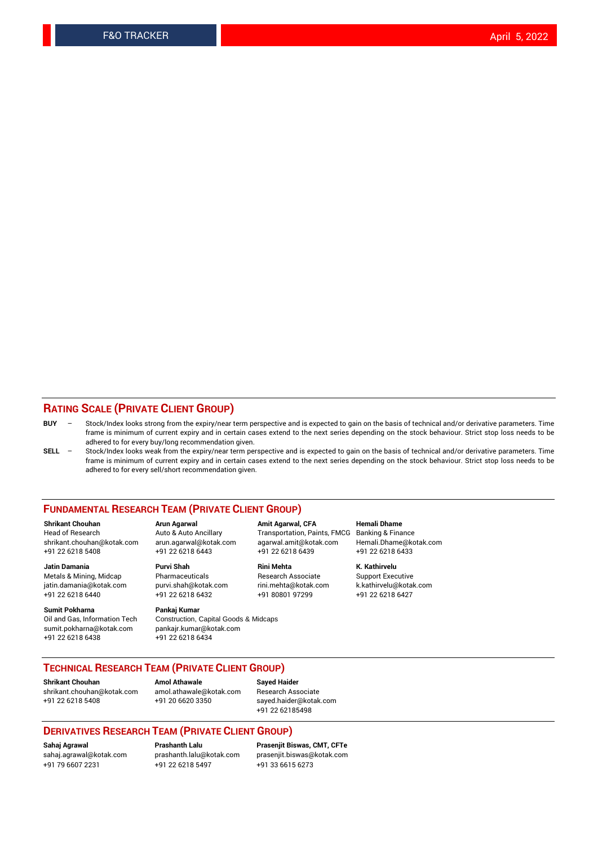## **RATING SCALE (PRIVATE CLIENT GROUP)**

- **BUY**  Stock/Index looks strong from the expiry/near term perspective and is expected to gain on the basis of technical and/or derivative parameters. Time frame is minimum of current expiry and in certain cases extend to the next series depending on the stock behaviour. Strict stop loss needs to be adhered to for every buy/long recommendation given.
- **SELL** Stock/Index looks weak from the expiry/near term perspective and is expected to gain on the basis of technical and/or derivative parameters. Time frame is minimum of current expiry and in certain cases extend to the next series depending on the stock behaviour. Strict stop loss needs to be adhered to for every sell/short recommendation given.

#### **FUNDAMENTAL RESEARCH TEAM (PRIVATE CLIENT GROUP)**

**Shrikant Chouhan Arun Agarwal Amit Agarwal, CFA Hemali Dhame** shrikant.chouhan@kotak.com arun.agarwal@kotak.com agarwal.amit@kotak.com Hemali.Dhame@kotak.com +91 22 6218 5408 +91 22 6218 6443 +91 22 6218 6439 +91 22 6218 6433

Metals & Mining, Midcap Pharmaceuticals Pharmaceuticals Research Associate Support Executive<br>
iatin.damania@kotak.com purvi.shah@kotak.com rini.mehta@kotak.com k.kathirvelu@kotak.com jatin.damania@kotak.com

**Sumit Pokharna** Pankaj Kumar<br>Oil and Gas, Information Tech Construction, sumit.pokharna@kotak.com pankajr.kumar@kotak.com +91 22 6218 6438 +91 22 6218 6434

**Jatin Damania Purvi Shah Rini Mehta K. Kathirvelu**

Construction, Capital Goods & Midcaps

Transportation, Paints, FMCG

+91 22 6218 6440 +91 22 6218 6432 +91 80801 97299 +91 22 6218 6427

## **TECHNICAL RESEARCH TEAM (PRIVATE CLIENT GROUP)**

[shrikant.chouhan@kotak.com](mailto:shrikant.chouhan@kotak.com) [amol.athawale@kotak.com](mailto:amol.athawale@kotak.com) Research Associate +91 22 6218 5408 +91 20 6620 3350 [sayed.haider@kotak.com](mailto:sayed.haider@kotak.com)

**Shrikant Chouhan Amol Athawale Sayed Haider**

+91 22 62185498

### **DERIVATIVES RESEARCH TEAM (PRIVATE CLIENT GROUP)**

+91 79 6607 2231 +91 22 6218 5497 +91 33 6615 6273

**Sahaj Agrawal Prashanth Lalu Prasenjit Biswas, CMT, CFTe** [prasenjit.biswas@kotak.com](mailto:prasenjit.biswas@kotak.com)